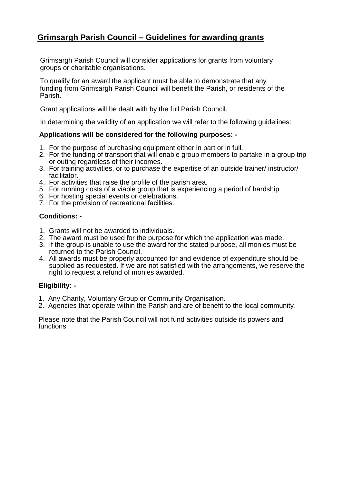### **Grimsargh Parish Council – Guidelines for awarding grants**

Grimsargh Parish Council will consider applications for grants from voluntary groups or charitable organisations.

To qualify for an award the applicant must be able to demonstrate that any funding from Grimsargh Parish Council will benefit the Parish, or residents of the Parish.

Grant applications will be dealt with by the full Parish Council.

In determining the validity of an application we will refer to the following guidelines:

#### **Applications will be considered for the following purposes: -**

- 1. For the purpose of purchasing equipment either in part or in full.
- 2. For the funding of transport that will enable group members to partake in a group trip or outing regardless of their incomes.
- 3. For training activities, or to purchase the expertise of an outside trainer/ instructor/ facilitator.
- 4. For activities that raise the profile of the parish area.
- 5. For running costs of a viable group that is experiencing a period of hardship.
- 6. For hosting special events or celebrations.
- 7. For the provision of recreational facilities.

### **Conditions: -**

- 1. Grants will not be awarded to individuals.
- 2. The award must be used for the purpose for which the application was made.
- 3. If the group is unable to use the award for the stated purpose, all monies must be returned to the Parish Council.
- 4. All awards must be properly accounted for and evidence of expenditure should be supplied as requested. If we are not satisfied with the arrangements, we reserve the right to request a refund of monies awarded.

#### **Eligibility: -**

- 1. Any Charity, Voluntary Group or Community Organisation.
- 2. Agencies that operate within the Parish and are of benefit to the local community.

Please note that the Parish Council will not fund activities outside its powers and functions.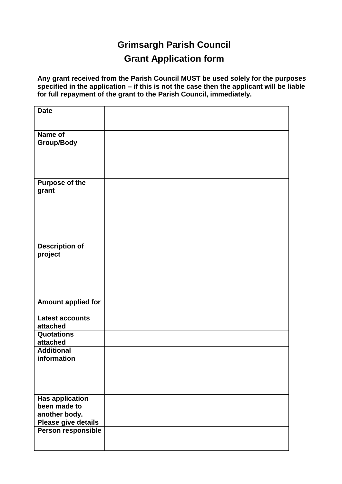# **Grimsargh Parish Council**

## **Grant Application form**

**Any grant received from the Parish Council MUST be used solely for the purposes specified in the application – if this is not the case then the applicant will be liable for full repayment of the grant to the Parish Council, immediately.**

| <b>Date</b>                            |  |
|----------------------------------------|--|
|                                        |  |
| Name of                                |  |
| <b>Group/Body</b>                      |  |
|                                        |  |
|                                        |  |
| <b>Purpose of the</b>                  |  |
| grant                                  |  |
|                                        |  |
|                                        |  |
|                                        |  |
|                                        |  |
| <b>Description of</b>                  |  |
| project                                |  |
|                                        |  |
|                                        |  |
|                                        |  |
|                                        |  |
| <b>Amount applied for</b>              |  |
| <b>Latest accounts</b>                 |  |
| attached                               |  |
| <b>Quotations</b><br>attached          |  |
| <b>Additional</b>                      |  |
| information                            |  |
|                                        |  |
|                                        |  |
|                                        |  |
| <b>Has application</b><br>been made to |  |
| another body.                          |  |
| Please give details                    |  |
| Person responsible                     |  |
|                                        |  |